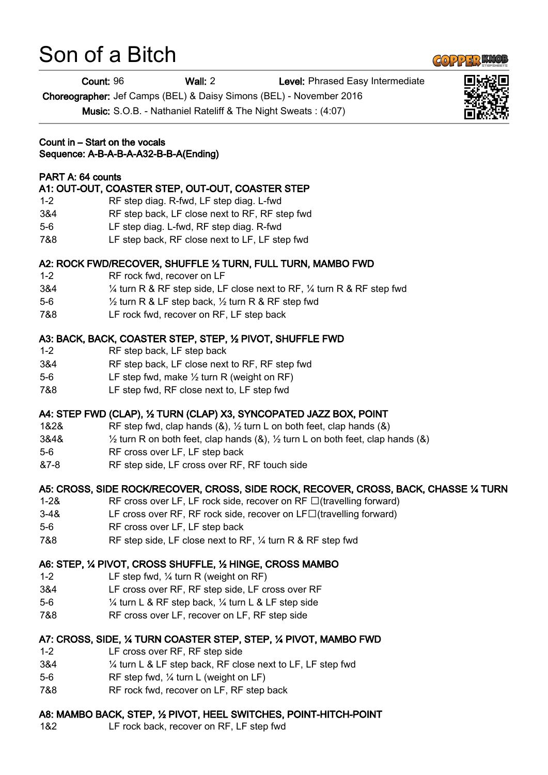# Son of a Bitch

Choreographer: Jef Camps (BEL) & Daisy Simons (BEL) - November 2016

Music: S.O.B. - Nathaniel Rateliff & The Night Sweats : (4:07)

#### Count in – Start on the vocals Sequence: A-B-A-B-A-A32-B-B-A(Ending)

## PART A: 64 counts

# A1: OUT-OUT, COASTER STEP, OUT-OUT, COASTER STEP

- 1-2 RF step diag. R-fwd, LF step diag. L-fwd
- 3&4 RF step back, LF close next to RF, RF step fwd
- 5-6 LF step diag. L-fwd, RF step diag. R-fwd
- 7&8 LF step back, RF close next to LF, LF step fwd

## A2: ROCK FWD/RECOVER, SHUFFLE ½ TURN, FULL TURN, MAMBO FWD

- 1-2 RF rock fwd, recover on LF
- 3&4 ¼ turn R & RF step side, LF close next to RF, ¼ turn R & RF step fwd
- 5-6 ½ turn R & LF step back, ½ turn R & RF step fwd
- 7&8 LF rock fwd, recover on RF, LF step back

# A3: BACK, BACK, COASTER STEP, STEP, ½ PIVOT, SHUFFLE FWD

- 1-2 RF step back, LF step back
- 3&4 RF step back, LF close next to RF, RF step fwd
- 5-6 LF step fwd, make ½ turn R (weight on RF)
- 7&8 LF step fwd, RF close next to, LF step fwd

## A4: STEP FWD (CLAP), ½ TURN (CLAP) X3, SYNCOPATED JAZZ BOX, POINT

- 1&2& RF step fwd, clap hands (&), ½ turn L on both feet, clap hands (&)
- 3&4&  $\frac{1}{2}$  turn R on both feet, clap hands (&),  $\frac{1}{2}$  turn L on both feet, clap hands (&)
- 5-6 RF cross over LF, LF step back
- &7-8 RF step side, LF cross over RF, RF touch side

# A5: CROSS, SIDE ROCK/RECOVER, CROSS, SIDE ROCK, RECOVER, CROSS, BACK, CHASSE ¼ TURN

- 1-2& RF cross over LF, LF rock side, recover on  $RF \Box$  (travelling forward)
- $3-48$  LF cross over RF, RF rock side, recover on LF $\Box$ (travelling forward)
- 5-6 RF cross over LF, LF step back
- 7&8 RF step side, LF close next to RF, ¼ turn R & RF step fwd

## A6: STEP, ¼ PIVOT, CROSS SHUFFLE, ½ HINGE, CROSS MAMBO

- 1-2 LF step fwd, ¼ turn R (weight on RF)
- 3&4 LF cross over RF, RF step side, LF cross over RF
- 5-6 ¼ turn L & RF step back, ¼ turn L & LF step side
- 7&8 RF cross over LF, recover on LF, RF step side

## A7: CROSS, SIDE, ¼ TURN COASTER STEP, STEP, ¼ PIVOT, MAMBO FWD

- 1-2 LF cross over RF, RF step side
- 3&4 ¼ turn L & LF step back, RF close next to LF, LF step fwd
- 5-6 RF step fwd, ¼ turn L (weight on LF)
- 7&8 RF rock fwd, recover on LF, RF step back

# A8: MAMBO BACK, STEP, ½ PIVOT, HEEL SWITCHES, POINT-HITCH-POINT

1&2 LF rock back, recover on RF, LF step fwd





Count: 96 Wall: 2 Level: Phrased Easy Intermediate